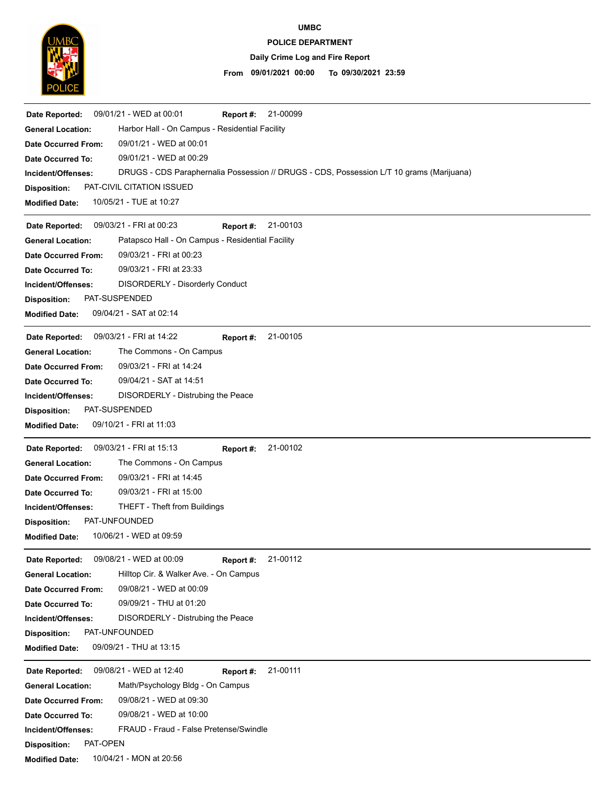

# **UMBC**

# **POLICE DEPARTMENT**

## **Daily Crime Log and Fire Report**

#### **09/01/2021 00:00 To 09/30/2021 23:59 From**

| 21-00099<br>09/01/21 - WED at 00:01<br>Date Reported:<br>Report #:                                             |
|----------------------------------------------------------------------------------------------------------------|
| Harbor Hall - On Campus - Residential Facility<br><b>General Location:</b>                                     |
| 09/01/21 - WED at 00:01<br>Date Occurred From:                                                                 |
| 09/01/21 - WED at 00:29<br>Date Occurred To:                                                                   |
| DRUGS - CDS Paraphernalia Possession // DRUGS - CDS, Possession L/T 10 grams (Marijuana)<br>Incident/Offenses: |
| PAT-CIVIL CITATION ISSUED<br><b>Disposition:</b>                                                               |
| 10/05/21 - TUE at 10:27<br><b>Modified Date:</b>                                                               |
| 21-00103<br>09/03/21 - FRI at 00:23<br>Report #:<br>Date Reported:                                             |
| Patapsco Hall - On Campus - Residential Facility<br><b>General Location:</b>                                   |
| 09/03/21 - FRI at 00:23<br>Date Occurred From:                                                                 |
| 09/03/21 - FRI at 23:33<br>Date Occurred To:                                                                   |
| <b>DISORDERLY - Disorderly Conduct</b><br>Incident/Offenses:                                                   |
| PAT-SUSPENDED<br><b>Disposition:</b>                                                                           |
| 09/04/21 - SAT at 02:14<br><b>Modified Date:</b>                                                               |
|                                                                                                                |
| 09/03/21 - FRI at 14:22<br>21-00105<br>Date Reported:<br>Report #:                                             |
| The Commons - On Campus<br><b>General Location:</b>                                                            |
| 09/03/21 - FRI at 14:24<br>Date Occurred From:                                                                 |
| 09/04/21 - SAT at 14:51<br>Date Occurred To:                                                                   |
| DISORDERLY - Distrubing the Peace<br>Incident/Offenses:<br>PAT-SUSPENDED                                       |
| <b>Disposition:</b><br>09/10/21 - FRI at 11:03                                                                 |
| <b>Modified Date:</b>                                                                                          |
| 21-00102<br>09/03/21 - FRI at 15:13<br>Date Reported:<br>Report #:                                             |
| <b>General Location:</b><br>The Commons - On Campus                                                            |
| 09/03/21 - FRI at 14:45<br>Date Occurred From:                                                                 |
| 09/03/21 - FRI at 15:00<br>Date Occurred To:                                                                   |
| THEFT - Theft from Buildings<br>Incident/Offenses:                                                             |
| PAT-UNFOUNDED<br><b>Disposition:</b>                                                                           |
| 10/06/21 - WED at 09:59<br><b>Modified Date:</b>                                                               |
| 09/08/21 - WED at 00:09<br>21-00112<br>Date Reported:<br>Report #:                                             |
| Hilltop Cir. & Walker Ave. - On Campus<br><b>General Location:</b>                                             |
| 09/08/21 - WED at 00:09<br><b>Date Occurred From:</b>                                                          |
| 09/09/21 - THU at 01:20<br><b>Date Occurred To:</b>                                                            |
| DISORDERLY - Distrubing the Peace<br>Incident/Offenses:                                                        |
| PAT-UNFOUNDED<br><b>Disposition:</b>                                                                           |
| 09/09/21 - THU at 13:15<br><b>Modified Date:</b>                                                               |
| 09/08/21 - WED at 12:40<br>21-00111<br>Date Reported:<br>Report #:                                             |
| Math/Psychology Bldg - On Campus<br><b>General Location:</b>                                                   |
| 09/08/21 - WED at 09:30<br>Date Occurred From:                                                                 |
| 09/08/21 - WED at 10:00<br>Date Occurred To:                                                                   |
| FRAUD - Fraud - False Pretense/Swindle<br>Incident/Offenses:                                                   |
| PAT-OPEN<br><b>Disposition:</b>                                                                                |
| 10/04/21 - MON at 20:56<br><b>Modified Date:</b>                                                               |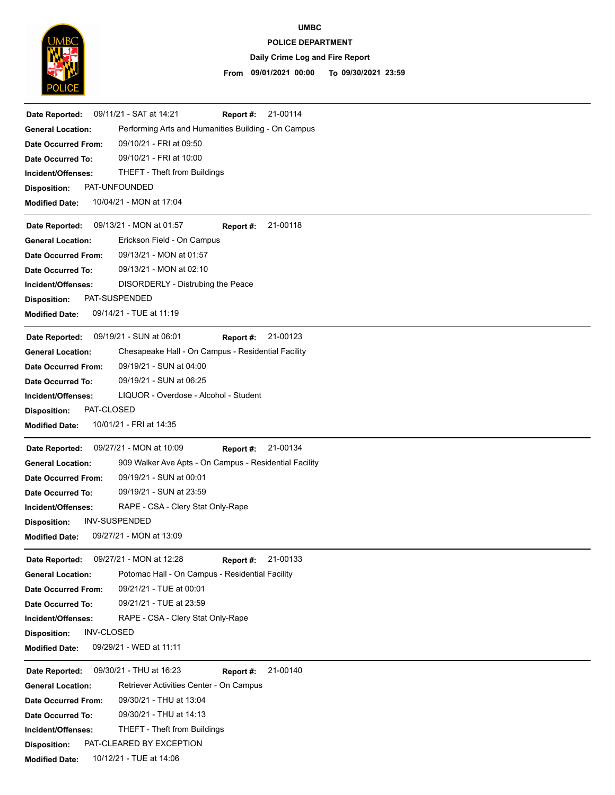

## **UMBC**

#### **POLICE DEPARTMENT**

### **Daily Crime Log and Fire Report**

#### **09/01/2021 00:00 To 09/30/2021 23:59 From**

| 09/11/21 - SAT at 14:21<br>21-00114<br>Date Reported:<br>Report #:                 |
|------------------------------------------------------------------------------------|
| Performing Arts and Humanities Building - On Campus<br><b>General Location:</b>    |
| 09/10/21 - FRI at 09:50<br><b>Date Occurred From:</b>                              |
| 09/10/21 - FRI at 10:00<br>Date Occurred To:                                       |
| <b>THEFT - Theft from Buildings</b><br>Incident/Offenses:                          |
| PAT-UNFOUNDED<br><b>Disposition:</b>                                               |
| 10/04/21 - MON at 17:04<br><b>Modified Date:</b>                                   |
| 09/13/21 - MON at 01:57<br>21-00118<br>Report #:<br>Date Reported:                 |
| Erickson Field - On Campus<br><b>General Location:</b>                             |
| 09/13/21 - MON at 01:57<br><b>Date Occurred From:</b>                              |
| 09/13/21 - MON at 02:10<br>Date Occurred To:                                       |
| DISORDERLY - Distrubing the Peace<br>Incident/Offenses:                            |
| PAT-SUSPENDED<br><b>Disposition:</b>                                               |
| 09/14/21 - TUE at 11:19<br><b>Modified Date:</b>                                   |
| 09/19/21 - SUN at 06:01<br>21-00123<br>Date Reported:<br>Report #:                 |
| Chesapeake Hall - On Campus - Residential Facility<br><b>General Location:</b>     |
| 09/19/21 - SUN at 04:00<br><b>Date Occurred From:</b>                              |
| 09/19/21 - SUN at 06:25<br><b>Date Occurred To:</b>                                |
| LIQUOR - Overdose - Alcohol - Student<br>Incident/Offenses:                        |
| PAT-CLOSED<br><b>Disposition:</b>                                                  |
| 10/01/21 - FRI at 14:35<br><b>Modified Date:</b>                                   |
| 09/27/21 - MON at 10:09<br>21-00134<br>Date Reported:<br>Report #:                 |
| 909 Walker Ave Apts - On Campus - Residential Facility<br><b>General Location:</b> |
| 09/19/21 - SUN at 00:01<br><b>Date Occurred From:</b>                              |
| 09/19/21 - SUN at 23:59<br>Date Occurred To:                                       |
| RAPE - CSA - Clery Stat Only-Rape<br>Incident/Offenses:                            |
| <b>INV-SUSPENDED</b><br><b>Disposition:</b>                                        |
| 09/27/21 - MON at 13:09<br><b>Modified Date:</b>                                   |
| 09/27/21 - MON at 12:28<br>21-00133<br>Report #:<br>Date Reported:                 |
| Potomac Hall - On Campus - Residential Facility<br><b>General Location:</b>        |
| 09/21/21 - TUE at 00:01<br><b>Date Occurred From:</b>                              |
| 09/21/21 - TUE at 23:59<br>Date Occurred To:                                       |
| RAPE - CSA - Clery Stat Only-Rape<br>Incident/Offenses:                            |
| <b>INV-CLOSED</b><br><b>Disposition:</b>                                           |
| 09/29/21 - WED at 11:11<br><b>Modified Date:</b>                                   |
| 09/30/21 - THU at 16:23<br>21-00140<br>Report #:<br>Date Reported:                 |
| Retriever Activities Center - On Campus<br><b>General Location:</b>                |
| 09/30/21 - THU at 13:04<br><b>Date Occurred From:</b>                              |
| 09/30/21 - THU at 14:13<br>Date Occurred To:                                       |
| <b>THEFT - Theft from Buildings</b><br>Incident/Offenses:                          |
| PAT-CLEARED BY EXCEPTION<br><b>Disposition:</b>                                    |
| 10/12/21 - TUE at 14:06<br><b>Modified Date:</b>                                   |